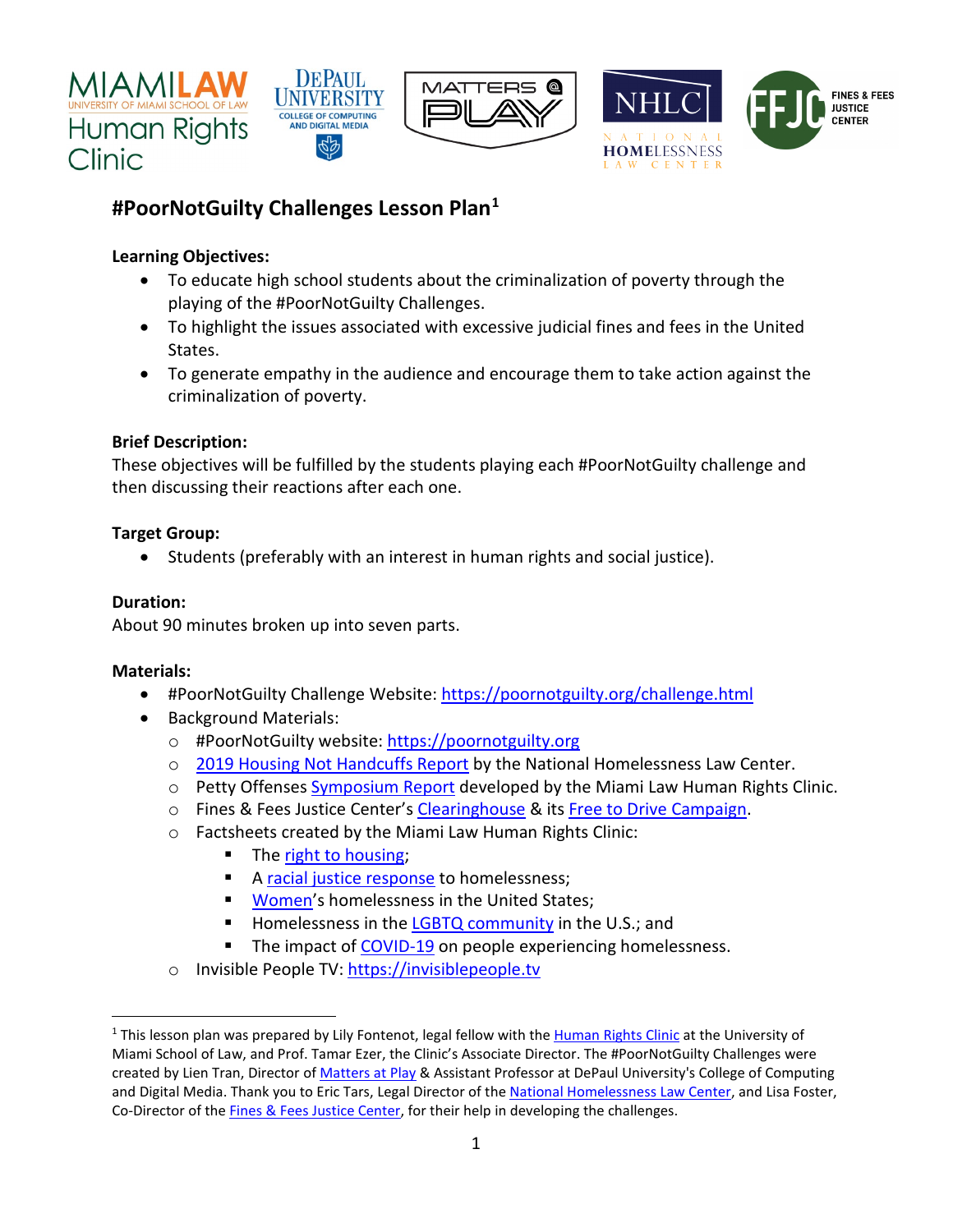







# **#PoorNotGuilty Challenges Lesson Plan[1](#page-0-0)**

### **Learning Objectives:**

- To educate high school students about the criminalization of poverty through the playing of the #PoorNotGuilty Challenges.
- To highlight the issues associated with excessive judicial fines and fees in the United States.
- To generate empathy in the audience and encourage them to take action against the criminalization of poverty.

## **Brief Description:**

These objectives will be fulfilled by the students playing each #PoorNotGuilty challenge and then discussing their reactions after each one.

### **Target Group:**

• Students (preferably with an interest in human rights and social justice).

### **Duration:**

About 90 minutes broken up into seven parts.

### **Materials:**

- #PoorNotGuilty Challenge Website[: https://poornotguilty.org/challenge.html](https://poornotguilty.org/challenge.html)
- Background Materials:
	- o #PoorNotGuilty website: [https://poornotguilty.org](https://poornotguilty.org/)
	- o [2019 Housing Not Handcuffs Report](https://homelesslaw.org/wp-content/uploads/2019/12/HOUSING-NOT-HANDCUFFS-2019-FINAL.pdf) by the National Homelessness Law Center.
	- o Petty Offenses **Symposium Report** developed by the Miami Law Human Rights Clinic.
	- o Fines & Fees Justice Center's [Clearinghouse](https://finesandfeesjusticecenter.org/clearinghouse/?sortByDate=true) & its [Free to Drive Campaign.](https://finesandfeesjusticecenter.org/campaigns/national-drivers-license-suspension-campaign-free-to-drive/)
	- o Factsheets created by the Miami Law Human Rights Clinic:
		- The [right to housing;](https://poornotguilty.org/resources/2020.12.06_RTHousing_Factsheet.pdf)
		- A [racial justice response](https://miami.app.box.com/s/p3b5g6xoaw05lbcxnfbou6fx557c5krw) to homelessness;
		- **[Women'](https://miami.app.box.com/s/h7csvo69hy8rbhd94j31v0l9f1j5l3pg)s homelessness in the United States;**
		- Homelessness in the [LGBTQ community](https://miami.app.box.com/s/6ajyu7b7mt7g59ckoe0onho02jzokf8l) in the U.S.; and
		- The impact of [COVID-19](https://miami.app.box.com/s/neb02gohomjcuzdmya3ivvuxl7dj4edf) on people experiencing homelessness.
	- o Invisible People TV: https://invisiblepeople.tv

<span id="page-0-0"></span><sup>&</sup>lt;sup>1</sup> This lesson plan was prepared by Lily Fontenot, legal fellow with the [Human Rights Clinic](https://www.law.miami.edu/academics/clinics/human-rights-clinic) at the University of Miami School of Law, and Prof. Tamar Ezer, the Clinic's Associate Director. The #PoorNotGuilty Challenges were created by Lien Tran, Director o[f Matters at Play](https://mattersatplay.com/) & Assistant Professor at DePaul University's College of Computing and Digital Media. Thank you to Eric Tars, Legal Director of th[e National Homelessness Law Center,](https://homelesslaw.org/) and Lisa Foster, Co-Director of th[e Fines & Fees Justice Center,](https://finesandfeesjusticecenter.org/) for their help in developing the challenges.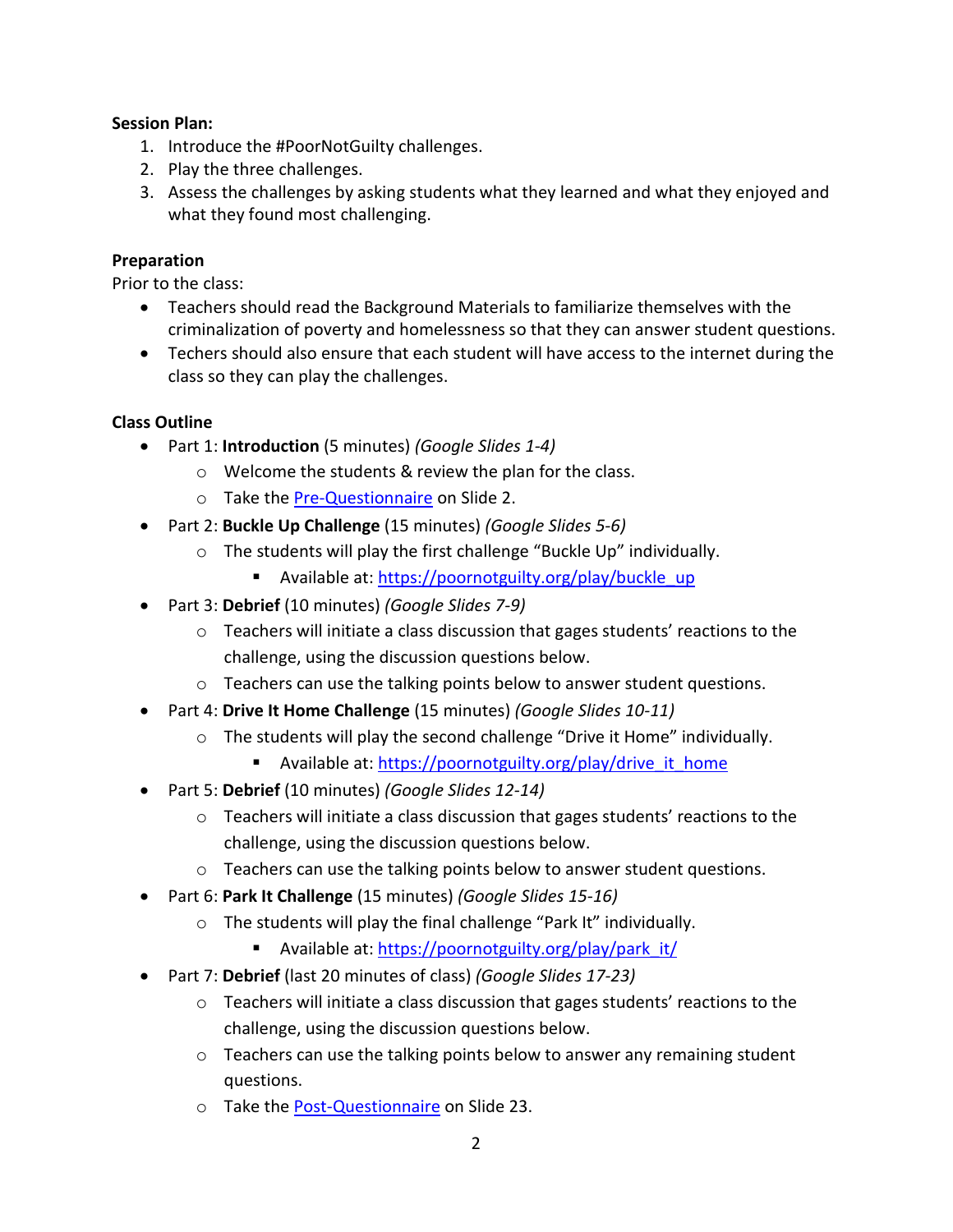#### **Session Plan:**

- 1. Introduce the #PoorNotGuilty challenges.
- 2. Play the three challenges.
- 3. Assess the challenges by asking students what they learned and what they enjoyed and what they found most challenging.

#### **Preparation**

Prior to the class:

- Teachers should read the Background Materials to familiarize themselves with the criminalization of poverty and homelessness so that they can answer student questions.
- Techers should also ensure that each student will have access to the internet during the class so they can play the challenges.

#### **Class Outline**

- Part 1: **Introduction** (5 minutes) *(Google Slides 1-4)*
	- o Welcome the students & review the plan for the class.
	- o Take th[e Pre-Questionnaire](https://docs.google.com/forms/d/e/1FAIpQLSdwiJnXCjyV0CkB4CjrovZ9mNWYUiJhuIXZisPOABWh6_iotQ/viewform?usp=sf_link) on Slide 2.
- Part 2: **Buckle Up Challenge** (15 minutes) *(Google Slides 5-6)*
	- o The students will play the first challenge "Buckle Up" individually.
		- Available at: [https://poornotguilty.org/play/buckle\\_up](https://poornotguilty.org/play/buckle_up)
- Part 3: **Debrief** (10 minutes) *(Google Slides 7-9)*
	- $\circ$  Teachers will initiate a class discussion that gages students' reactions to the challenge, using the discussion questions below.
	- o Teachers can use the talking points below to answer student questions.
- Part 4: **Drive It Home Challenge** (15 minutes) *(Google Slides 10-11)*
	- o The students will play the second challenge "Drive it Home" individually.
		- Available at: [https://poornotguilty.org/play/drive\\_it\\_home](https://poornotguilty.org/play/drive_it_home)
- Part 5: **Debrief** (10 minutes) *(Google Slides 12-14)*
	- $\circ$  Teachers will initiate a class discussion that gages students' reactions to the challenge, using the discussion questions below.
	- o Teachers can use the talking points below to answer student questions.
- Part 6: **Park It Challenge** (15 minutes) *(Google Slides 15-16)*
	- o The students will play the final challenge "Park It" individually.
		- Available at: https://poornotguilty.org/play/park\_it/
- Part 7: **Debrief** (last 20 minutes of class) *(Google Slides 17-23)*
	- $\circ$  Teachers will initiate a class discussion that gages students' reactions to the challenge, using the discussion questions below.
	- $\circ$  Teachers can use the talking points below to answer any remaining student questions.
	- o Take th[e Post-Questionnaire](https://docs.google.com/forms/d/e/1FAIpQLSdeyF2JbmofzX4pIrLCc71aFUF71B82aLDoIVRqkkdSE4D7vQ/viewform?usp=sf_link) on Slide 23.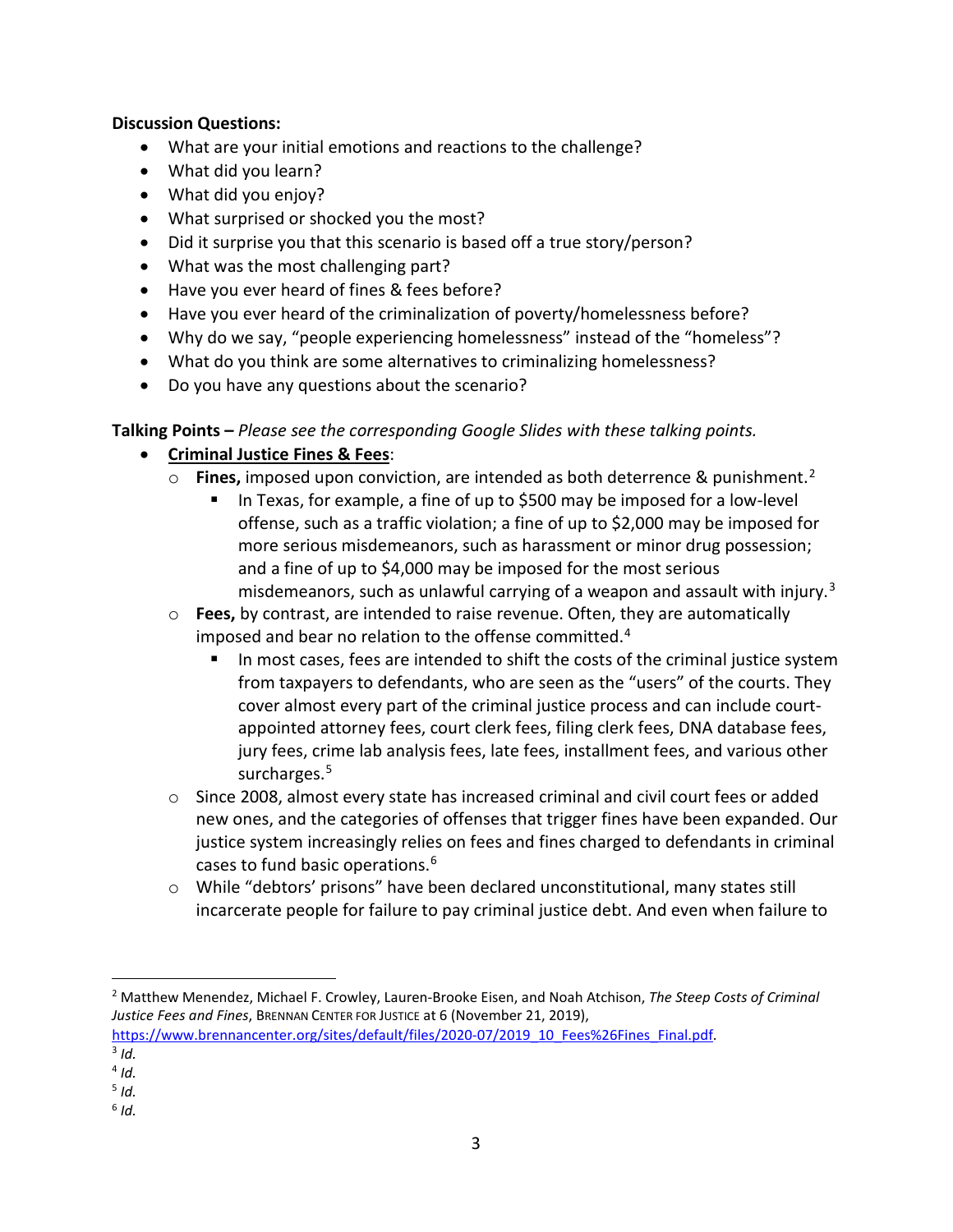#### **Discussion Questions:**

- What are your initial emotions and reactions to the challenge?
- What did you learn?
- What did you enjoy?
- What surprised or shocked you the most?
- Did it surprise you that this scenario is based off a true story/person?
- What was the most challenging part?
- Have you ever heard of fines & fees before?
- Have you ever heard of the criminalization of poverty/homelessness before?
- Why do we say, "people experiencing homelessness" instead of the "homeless"?
- What do you think are some alternatives to criminalizing homelessness?
- Do you have any questions about the scenario?

**Talking Points –** *Please see the corresponding Google Slides with these talking points.*

- **Criminal Justice Fines & Fees**:
	- o **Fines,** imposed upon conviction, are intended as both deterrence & punishment.[2](#page-2-0)
		- In Texas, for example, a fine of up to \$500 may be imposed for a low-level offense, such as a traffic violation; a fine of up to \$2,000 may be imposed for more serious misdemeanors, such as harassment or minor drug possession; and a fine of up to \$4,000 may be imposed for the most serious misdemeanors, such as unlawful carrying of a weapon and assault with injury.<sup>[3](#page-2-1)</sup>
	- o **Fees,** by contrast, are intended to raise revenue. Often, they are automatically imposed and bear no relation to the offense committed.<sup>[4](#page-2-2)</sup>
		- In most cases, fees are intended to shift the costs of the criminal justice system from taxpayers to defendants, who are seen as the "users" of the courts. They cover almost every part of the criminal justice process and can include courtappointed attorney fees, court clerk fees, filing clerk fees, DNA database fees, jury fees, crime lab analysis fees, late fees, installment fees, and various other surcharges.<sup>[5](#page-2-3)</sup>
	- $\circ$  Since 2008, almost every state has increased criminal and civil court fees or added new ones, and the categories of offenses that trigger fines have been expanded. Our justice system increasingly relies on fees and fines charged to defendants in criminal cases to fund basic operations.[6](#page-2-4)
	- o While "debtors' prisons" have been declared unconstitutional, many states still incarcerate people for failure to pay criminal justice debt. And even when failure to

<span id="page-2-2"></span> $4$  *Id.* 

<span id="page-2-0"></span><sup>2</sup> Matthew Menendez, Michael F. Crowley, Lauren-Brooke Eisen, and Noah Atchison, *The Steep Costs of Criminal Justice Fees and Fines*, BRENNAN CENTER FOR JUSTICE at 6 (November 21, 2019),

[https://www.brennancenter.org/sites/default/files/2020-07/2019\\_10\\_Fees%26Fines\\_Final.pdf.](https://www.brennancenter.org/sites/default/files/2020-07/2019_10_Fees%26Fines_Final.pdf) 3 *Id.*

<span id="page-2-1"></span>

<span id="page-2-3"></span> $5$  *Id.* 

<span id="page-2-4"></span><sup>6</sup> *Id.*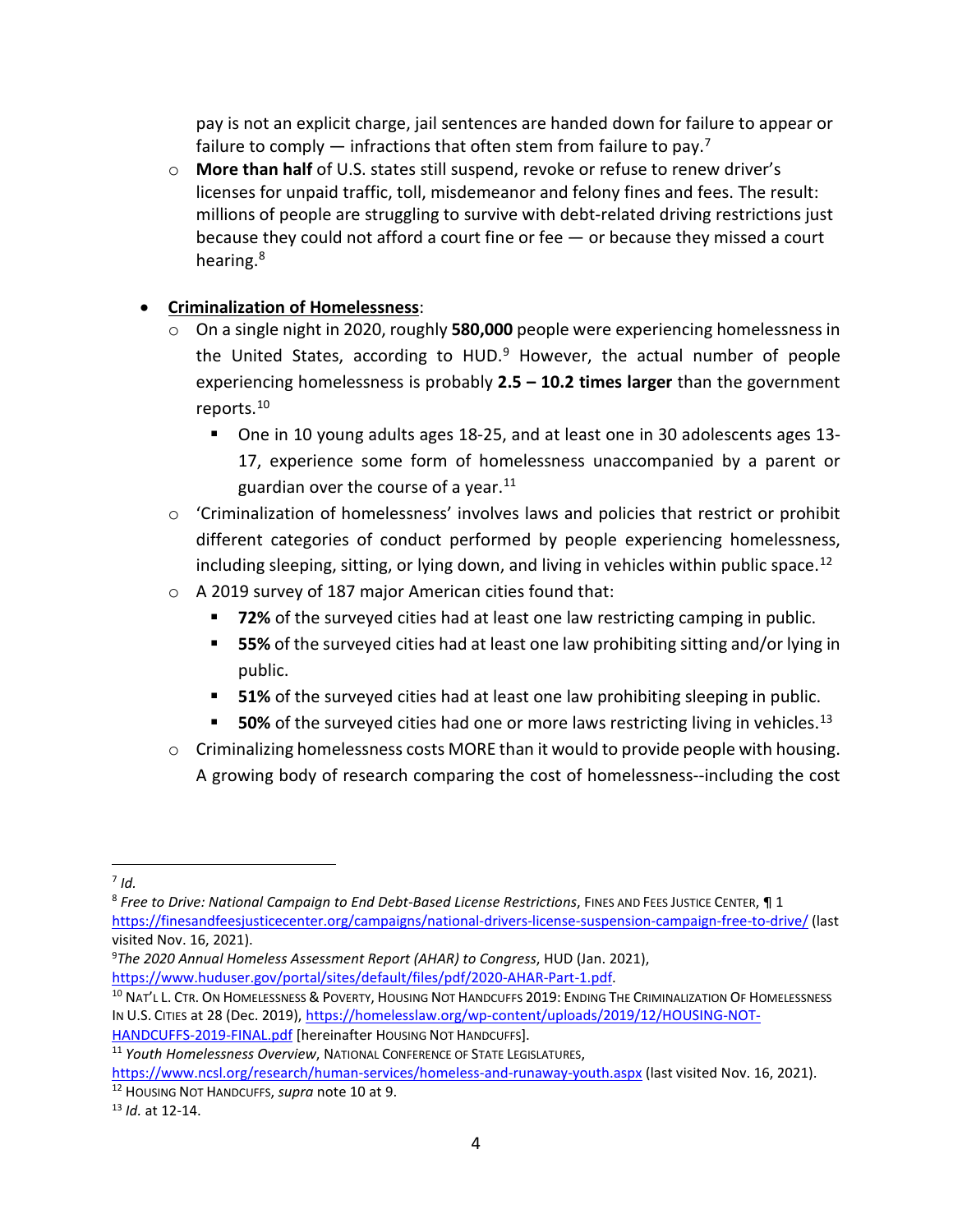pay is not an explicit charge, jail sentences are handed down for failure to appear or failure to comply  $-$  infractions that often stem from failure to pay.<sup>7</sup>

o **More than half** of U.S. states still suspend, revoke or refuse to renew driver's licenses for unpaid traffic, toll, misdemeanor and felony fines and fees. The result: millions of people are struggling to survive with debt-related driving restrictions just because they could not afford a court fine or fee — or because they missed a court hearing.<sup>8</sup>

### • **Criminalization of Homelessness**:

- o On a single night in 2020, roughly **580,000** people were experiencing homelessness in the United States, according to HUD.<sup>[9](#page-3-2)</sup> However, the actual number of people experiencing homelessness is probably **2.5 – 10.2 times larger** than the government reports.[10](#page-3-3)
	- One in 10 young adults ages 18-25, and at least one in 30 adolescents ages 13- 17, experience some form of homelessness unaccompanied by a parent or guardian over the course of a year. $11$
- o 'Criminalization of homelessness' involves laws and policies that restrict or prohibit different categories of conduct performed by people experiencing homelessness, including sleeping, sitting, or lying down, and living in vehicles within public space. [12](#page-3-5)
- o A 2019 survey of 187 major American cities found that:
	- **72%** of the surveyed cities had at least one law restricting camping in public.
	- **55%** of the surveyed cities had at least one law prohibiting sitting and/or lying in public.
	- **51%** of the surveyed cities had at least one law prohibiting sleeping in public.
	- **50%** of the surveyed cities had one or more laws restricting living in vehicles.<sup>[13](#page-3-6)</sup>
- o Criminalizing homelessness costs MORE than it would to provide people with housing. A growing body of research comparing the cost of homelessness--including the cost

<span id="page-3-0"></span> $7$  *Id.* 

<span id="page-3-1"></span><sup>8</sup> *Free to Drive: National Campaign to End Debt-Based License Restrictions*, FINES AND FEES JUSTICE CENTER, ¶ 1 <https://finesandfeesjusticecenter.org/campaigns/national-drivers-license-suspension-campaign-free-to-drive/> (last visited Nov. 16, 2021). 9

<span id="page-3-2"></span>*The 2020 Annual Homeless Assessment Report (AHAR) to Congress*, HUD (Jan. 2021),

<span id="page-3-3"></span>https://www.huduser.gov/portal/sites/default/files/pdf/2020-AHAR-Part-1.pdf.<br><sup>10</sup> NaT'L L. CTR. ON HOMELESSNESS & POVERTY, HOUSING NOT HANDCUFFS 2019: ENDING THE CRIMINALIZATION OF HOMELESSNESS IN U.S. CITIES at 28 (Dec. 2019)[, https://homelesslaw.org/wp-content/uploads/2019/12/HOUSING-NOT-](https://homelesslaw.org/wp-content/uploads/2019/12/HOUSING-NOT-HANDCUFFS-2019-FINAL.pdf)

HANDCUFFS-2019-FINAL.pdf [hereinafter HOUSING NOT HANDCUFFS]. 11 *Youth Homelessness Overview*, NATIONAL CONFERENCE OF STATE LEGISLATURES,

<span id="page-3-4"></span>

<span id="page-3-5"></span><https://www.ncsl.org/research/human-services/homeless-and-runaway-youth.aspx> (last visited Nov. 16, 2021). 12 HOUSING NOT HANDCUFFS, *supra* note 10 at 9. 13 *Id.* at 12-14.

<span id="page-3-6"></span>